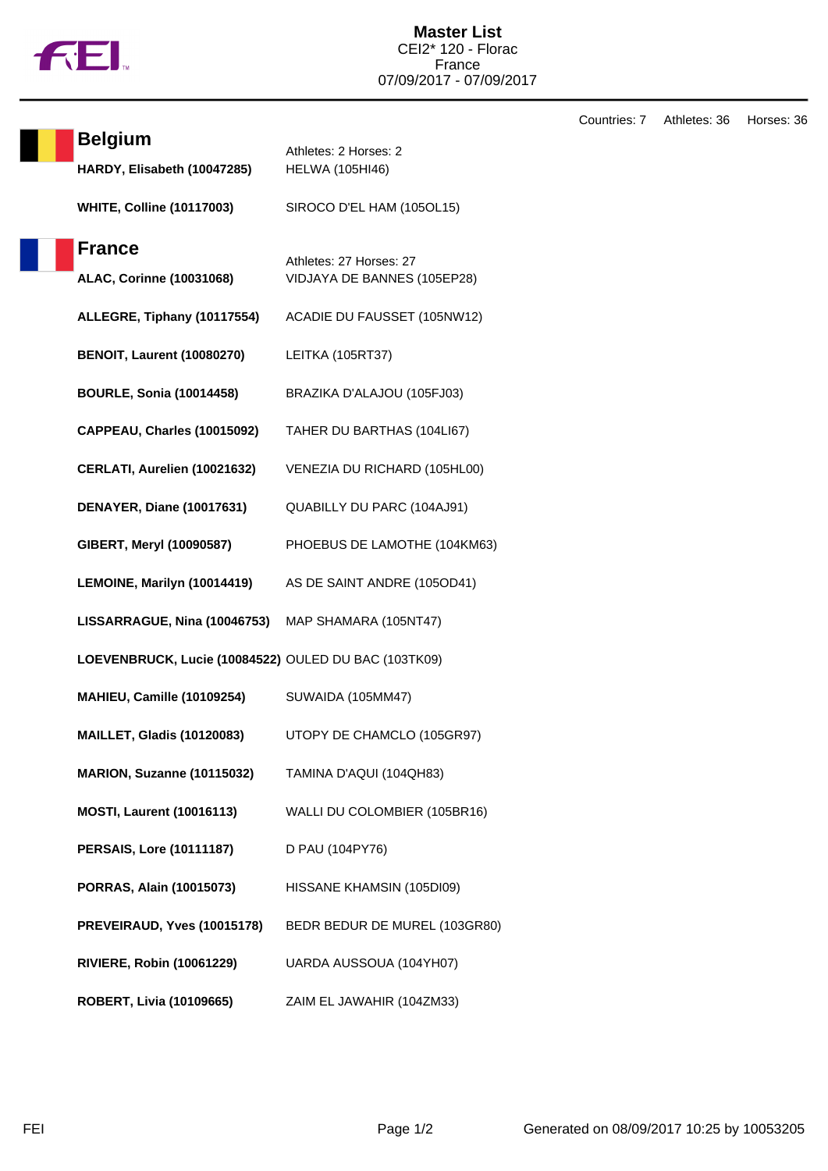

Countries: 7 Athletes: 36 Horses: 36

| <b>Belgium</b>                                       | Athletes: 2 Horses: 2         |
|------------------------------------------------------|-------------------------------|
| HARDY, Elisabeth (10047285)                          | <b>HELWA (105HI46)</b>        |
| <b>WHITE, Colline (10117003)</b>                     | SIROCO D'EL HAM (105OL15)     |
| <b>France</b>                                        | Athletes: 27 Horses: 27       |
| <b>ALAC, Corinne (10031068)</b>                      | VIDJAYA DE BANNES (105EP28)   |
| ALLEGRE, Tiphany (10117554)                          | ACADIE DU FAUSSET (105NW12)   |
| <b>BENOIT, Laurent (10080270)</b>                    | LEITKA (105RT37)              |
| <b>BOURLE, Sonia (10014458)</b>                      | BRAZIKA D'ALAJOU (105FJ03)    |
| CAPPEAU, Charles (10015092)                          | TAHER DU BARTHAS (104LI67)    |
| CERLATI, Aurelien (10021632)                         | VENEZIA DU RICHARD (105HL00)  |
| <b>DENAYER, Diane (10017631)</b>                     | QUABILLY DU PARC (104AJ91)    |
| GIBERT, Meryl (10090587)                             | PHOEBUS DE LAMOTHE (104KM63)  |
| LEMOINE, Marilyn (10014419)                          | AS DE SAINT ANDRE (105OD41)   |
| LISSARRAGUE, Nina (10046753) MAP SHAMARA (105NT47)   |                               |
| LOEVENBRUCK, Lucie (10084522) OULED DU BAC (103TK09) |                               |
| MAHIEU, Camille (10109254)                           | SUWAIDA (105MM47)             |
| <b>MAILLET, Gladis (10120083)</b>                    | UTOPY DE CHAMCLO (105GR97)    |
| MARION, Suzanne (10115032)                           | TAMINA D'AQUI (104QH83)       |
| <b>MOSTI, Laurent (10016113)</b>                     | WALLI DU COLOMBIER (105BR16)  |
| <b>PERSAIS, Lore (10111187)</b>                      | D PAU (104PY76)               |
| PORRAS, Alain (10015073)                             | HISSANE KHAMSIN (105DI09)     |
| PREVEIRAUD, Yves (10015178)                          | BEDR BEDUR DE MUREL (103GR80) |
| <b>RIVIERE, Robin (10061229)</b>                     | UARDA AUSSOUA (104YH07)       |
| ROBERT, Livia (10109665)                             | ZAIM EL JAWAHIR (104ZM33)     |